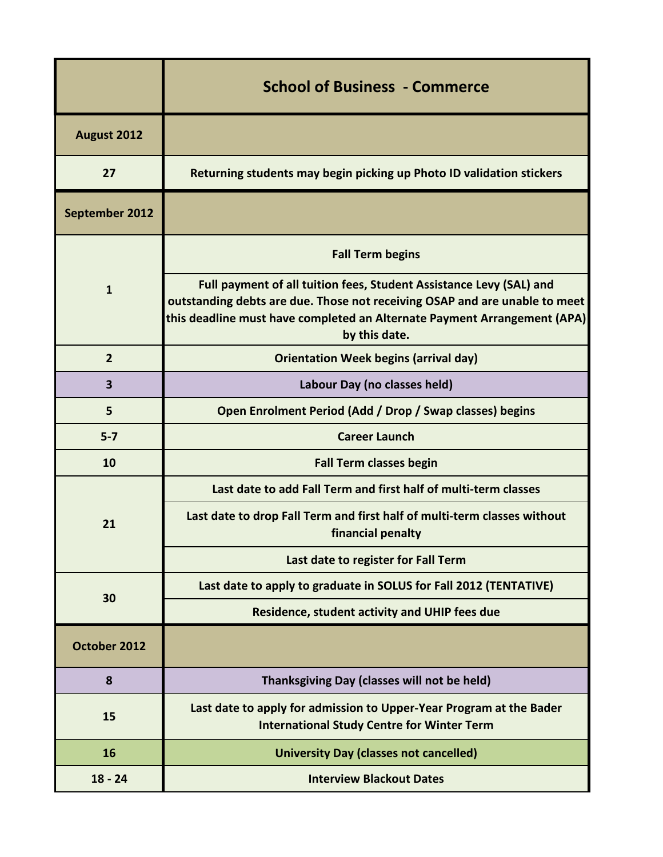|                | <b>School of Business - Commerce</b>                                                                                                                                                                                                           |
|----------------|------------------------------------------------------------------------------------------------------------------------------------------------------------------------------------------------------------------------------------------------|
| August 2012    |                                                                                                                                                                                                                                                |
| 27             | Returning students may begin picking up Photo ID validation stickers                                                                                                                                                                           |
| September 2012 |                                                                                                                                                                                                                                                |
| $\mathbf{1}$   | <b>Fall Term begins</b>                                                                                                                                                                                                                        |
|                | Full payment of all tuition fees, Student Assistance Levy (SAL) and<br>outstanding debts are due. Those not receiving OSAP and are unable to meet<br>this deadline must have completed an Alternate Payment Arrangement (APA)<br>by this date. |
| $\overline{2}$ | <b>Orientation Week begins (arrival day)</b>                                                                                                                                                                                                   |
| 3              | Labour Day (no classes held)                                                                                                                                                                                                                   |
| 5              | Open Enrolment Period (Add / Drop / Swap classes) begins                                                                                                                                                                                       |
| $5 - 7$        | <b>Career Launch</b>                                                                                                                                                                                                                           |
| 10             | <b>Fall Term classes begin</b>                                                                                                                                                                                                                 |
|                | Last date to add Fall Term and first half of multi-term classes                                                                                                                                                                                |
| 21             | Last date to drop Fall Term and first half of multi-term classes without<br>financial penalty                                                                                                                                                  |
|                | Last date to register for Fall Term                                                                                                                                                                                                            |
| 30             | Last date to apply to graduate in SOLUS for Fall 2012 (TENTATIVE)                                                                                                                                                                              |
|                | Residence, student activity and UHIP fees due                                                                                                                                                                                                  |
| October 2012   |                                                                                                                                                                                                                                                |
| 8              | Thanksgiving Day (classes will not be held)                                                                                                                                                                                                    |
| 15             | Last date to apply for admission to Upper-Year Program at the Bader<br><b>International Study Centre for Winter Term</b>                                                                                                                       |
| 16             | <b>University Day (classes not cancelled)</b>                                                                                                                                                                                                  |
| $18 - 24$      | <b>Interview Blackout Dates</b>                                                                                                                                                                                                                |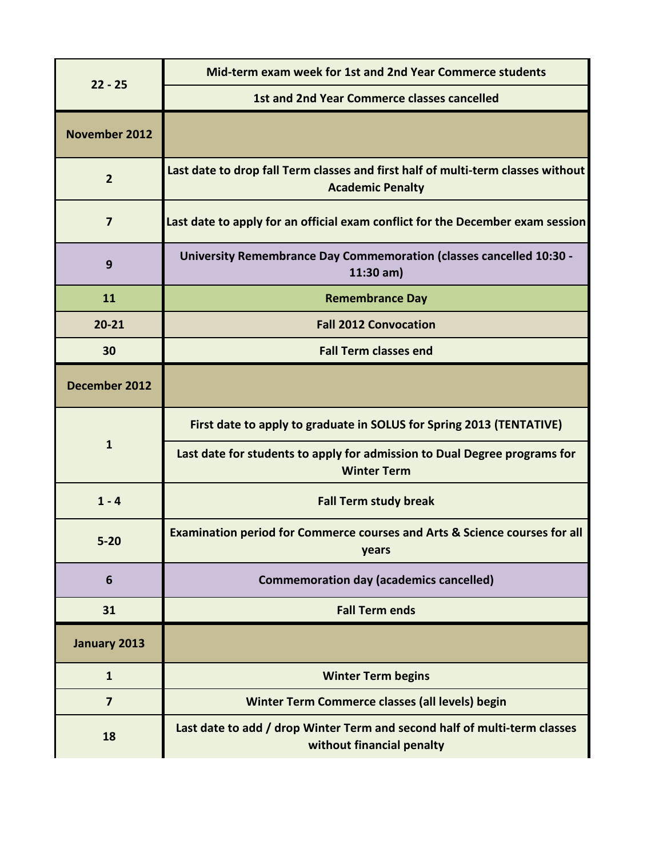| $22 - 25$            | Mid-term exam week for 1st and 2nd Year Commerce students                                                   |
|----------------------|-------------------------------------------------------------------------------------------------------------|
|                      | 1st and 2nd Year Commerce classes cancelled                                                                 |
| <b>November 2012</b> |                                                                                                             |
| $\overline{2}$       | Last date to drop fall Term classes and first half of multi-term classes without<br><b>Academic Penalty</b> |
| $\overline{7}$       | Last date to apply for an official exam conflict for the December exam session                              |
| 9                    | <b>University Remembrance Day Commemoration (classes cancelled 10:30 -</b><br>$11:30$ am)                   |
| 11                   | <b>Remembrance Day</b>                                                                                      |
| $20 - 21$            | <b>Fall 2012 Convocation</b>                                                                                |
| 30                   | <b>Fall Term classes end</b>                                                                                |
| December 2012        |                                                                                                             |
| $\mathbf{1}$         | First date to apply to graduate in SOLUS for Spring 2013 (TENTATIVE)                                        |
|                      | Last date for students to apply for admission to Dual Degree programs for<br><b>Winter Term</b>             |
| $1 - 4$              | <b>Fall Term study break</b>                                                                                |
| $5 - 20$             | Examination period for Commerce courses and Arts & Science courses for all<br>years                         |
| 6                    | <b>Commemoration day (academics cancelled)</b>                                                              |
| 31                   | <b>Fall Term ends</b>                                                                                       |
| January 2013         |                                                                                                             |
| $\mathbf{1}$         | <b>Winter Term begins</b>                                                                                   |
| $\overline{7}$       | Winter Term Commerce classes (all levels) begin                                                             |
| 18                   | Last date to add / drop Winter Term and second half of multi-term classes<br>without financial penalty      |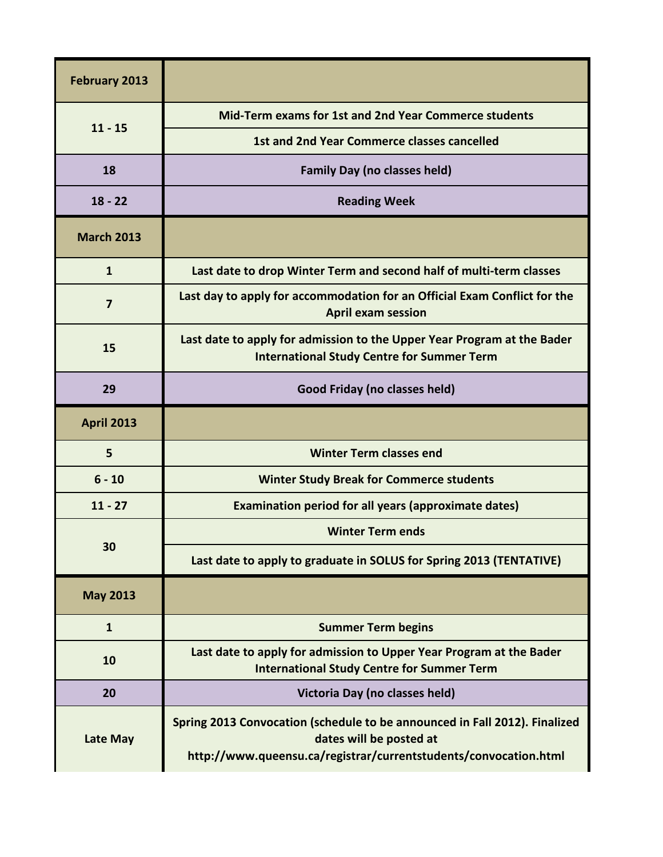| February 2013     |                                                                                                                                                                           |
|-------------------|---------------------------------------------------------------------------------------------------------------------------------------------------------------------------|
| $11 - 15$         | Mid-Term exams for 1st and 2nd Year Commerce students                                                                                                                     |
|                   | 1st and 2nd Year Commerce classes cancelled                                                                                                                               |
| 18                | <b>Family Day (no classes held)</b>                                                                                                                                       |
| $18 - 22$         | <b>Reading Week</b>                                                                                                                                                       |
| <b>March 2013</b> |                                                                                                                                                                           |
| $\mathbf{1}$      | Last date to drop Winter Term and second half of multi-term classes                                                                                                       |
| 7                 | Last day to apply for accommodation for an Official Exam Conflict for the<br><b>April exam session</b>                                                                    |
| 15                | Last date to apply for admission to the Upper Year Program at the Bader<br><b>International Study Centre for Summer Term</b>                                              |
| 29                | Good Friday (no classes held)                                                                                                                                             |
| <b>April 2013</b> |                                                                                                                                                                           |
| 5                 | <b>Winter Term classes end</b>                                                                                                                                            |
| $6 - 10$          | <b>Winter Study Break for Commerce students</b>                                                                                                                           |
| $11 - 27$         | <b>Examination period for all years (approximate dates)</b>                                                                                                               |
|                   | <b>Winter Term ends</b>                                                                                                                                                   |
| 30                | Last date to apply to graduate in SOLUS for Spring 2013 (TENTATIVE)                                                                                                       |
| <b>May 2013</b>   |                                                                                                                                                                           |
| $\mathbf{1}$      | <b>Summer Term begins</b>                                                                                                                                                 |
| 10                | Last date to apply for admission to Upper Year Program at the Bader<br><b>International Study Centre for Summer Term</b>                                                  |
| 20                | Victoria Day (no classes held)                                                                                                                                            |
| Late May          | Spring 2013 Convocation (schedule to be announced in Fall 2012). Finalized<br>dates will be posted at<br>http://www.queensu.ca/registrar/currentstudents/convocation.html |